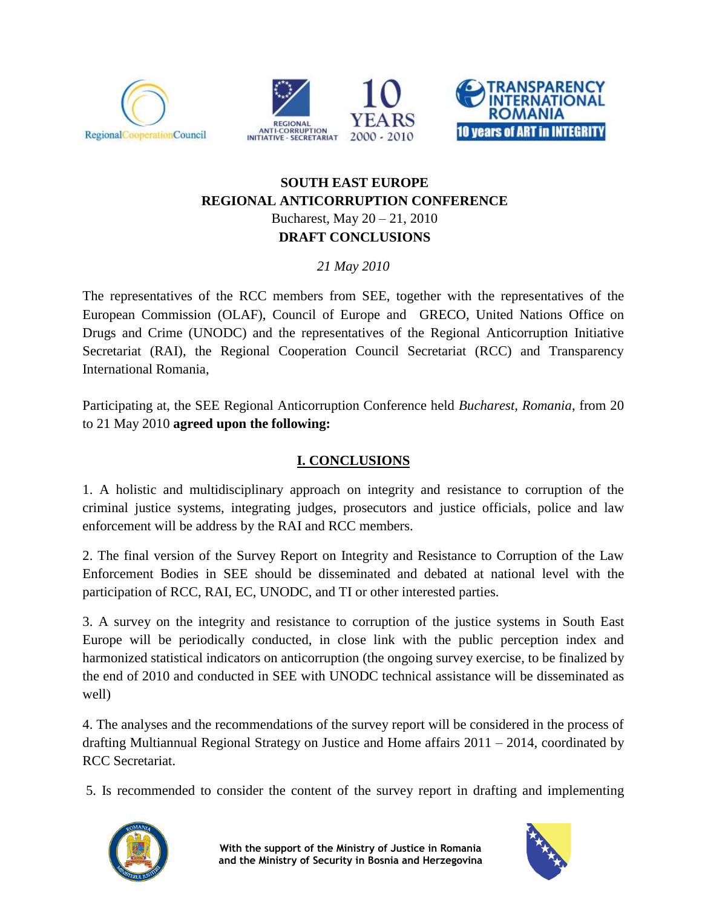





## **SOUTH EAST EUROPE REGIONAL ANTICORRUPTION CONFERENCE** Bucharest, May 20 – 21, 2010 **DRAFT CONCLUSIONS**

*21 May 2010*

The representatives of the RCC members from SEE, together with the representatives of the European Commission (OLAF), Council of Europe and GRECO, United Nations Office on Drugs and Crime (UNODC) and the representatives of the Regional Anticorruption Initiative Secretariat (RAI), the Regional Cooperation Council Secretariat (RCC) and Transparency International Romania,

Participating at, the SEE Regional Anticorruption Conference held *Bucharest, Romania*, from 20 to 21 May 2010 **agreed upon the following:**

## **I. CONCLUSIONS**

1. A holistic and multidisciplinary approach on integrity and resistance to corruption of the criminal justice systems, integrating judges, prosecutors and justice officials, police and law enforcement will be address by the RAI and RCC members.

2. The final version of the Survey Report on Integrity and Resistance to Corruption of the Law Enforcement Bodies in SEE should be disseminated and debated at national level with the participation of RCC, RAI, EC, UNODC, and TI or other interested parties.

3. A survey on the integrity and resistance to corruption of the justice systems in South East Europe will be periodically conducted, in close link with the public perception index and harmonized statistical indicators on anticorruption (the ongoing survey exercise, to be finalized by the end of 2010 and conducted in SEE with UNODC technical assistance will be disseminated as well)

4. The analyses and the recommendations of the survey report will be considered in the process of drafting Multiannual Regional Strategy on Justice and Home affairs 2011 – 2014, coordinated by RCC Secretariat.

5. Is recommended to consider the content of the survey report in drafting and implementing